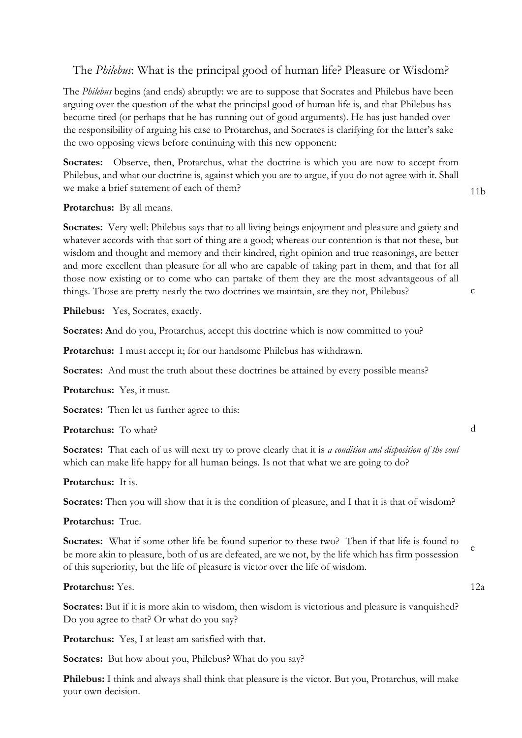## The *Philebus*: What is the principal good of human life? Pleasure or Wisdom?

The *Philebus* begins (and ends) abruptly: we are to suppose that Socrates and Philebus have been arguing over the question of the what the principal good of human life is, and that Philebus has become tired (or perhaps that he has running out of good arguments). He has just handed over the responsibility of arguing his case to Protarchus, and Socrates is clarifying for the latter's sake the two opposing views before continuing with this new opponent:

**Socrates:** Observe, then, Protarchus, what the doctrine is which you are now to accept from Philebus, and what our doctrine is, against which you are to argue, if you do not agree with it. Shall we make a brief statement of each of them?

**Protarchus:** By all means.

**Socrates:** Very well: Philebus says that to all living beings enjoyment and pleasure and gaiety and whatever accords with that sort of thing are a good; whereas our contention is that not these, but wisdom and thought and memory and their kindred, right opinion and true reasonings, are better and more excellent than pleasure for all who are capable of taking part in them, and that for all those now existing or to come who can partake of them they are the most advantageous of all things. Those are pretty nearly the two doctrines we maintain, are they not, Philebus?

**Philebus:** Yes, Socrates, exactly.

**Socrates:** And do you, Protarchus, accept this doctrine which is now committed to you?

**Protarchus:** I must accept it; for our handsome Philebus has withdrawn.

**Socrates:** And must the truth about these doctrines be attained by every possible means?

**Protarchus:** Yes, it must.

**Socrates:** Then let us further agree to this:

**Protarchus:** To what?

**Socrates:** That each of us will next try to prove clearly that it is *a condition and disposition of the soul* which can make life happy for all human beings. Is not that what we are going to do?

**Protarchus:** It is.

**Socrates:** Then you will show that it is the condition of pleasure, and I that it is that of wisdom?

**Protarchus:** True.

**Socrates:** What if some other life be found superior to these two? Then if that life is found to be more akin to pleasure, both of us are defeated, are we not, by the life which has firm possession of this superiority, but the life of pleasure is victor over the life of wisdom. e

## **Protarchus:** Yes.

Socrates: But if it is more akin to wisdom, then wisdom is victorious and pleasure is vanquished? Do you agree to that? Or what do you say?

**Protarchus:** Yes, I at least am satisfied with that.

**Socrates:** But how about you, Philebus? What do you say?

**Philebus:** I think and always shall think that pleasure is the victor. But you, Protarchus, will make your own decision.

c

11b

d

12a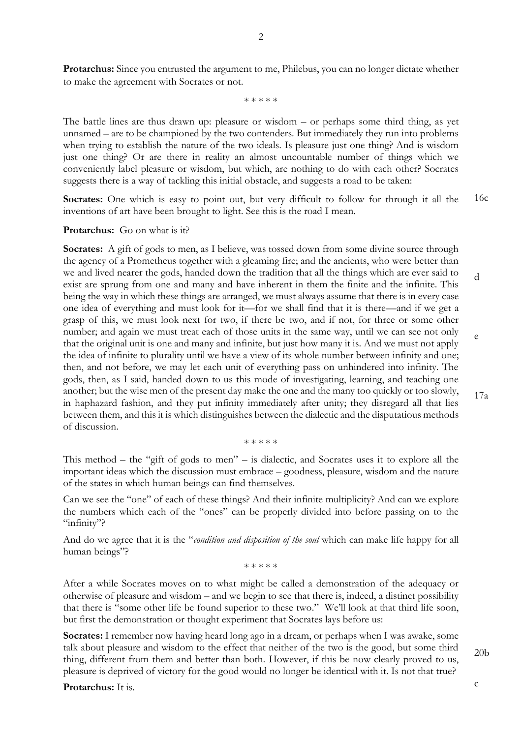**Protarchus:** Since you entrusted the argument to me, Philebus, you can no longer dictate whether to make the agreement with Socrates or not.

\* \* \* \* \*

The battle lines are thus drawn up: pleasure or wisdom – or perhaps some third thing, as yet unnamed – are to be championed by the two contenders. But immediately they run into problems when trying to establish the nature of the two ideals. Is pleasure just one thing? And is wisdom just one thing? Or are there in reality an almost uncountable number of things which we conveniently label pleasure or wisdom, but which, are nothing to do with each other? Socrates suggests there is a way of tackling this initial obstacle, and suggests a road to be taken:

Socrates: One which is easy to point out, but very difficult to follow for through it all the inventions of art have been brought to light. See this is the road I mean. 16c

## Protarchus: Go on what is it?

**Socrates:** A gift of gods to men, as I believe, was tossed down from some divine source through the agency of a Prometheus together with a gleaming fire; and the ancients, who were better than we and lived nearer the gods, handed down the tradition that all the things which are ever said to exist are sprung from one and many and have inherent in them the finite and the infinite. This being the way in which these things are arranged, we must always assume that there is in every case one idea of everything and must look for it—for we shall find that it is there—and if we get a grasp of this, we must look next for two, if there be two, and if not, for three or some other number; and again we must treat each of those units in the same way, until we can see not only that the original unit is one and many and infinite, but just how many it is. And we must not apply the idea of infinite to plurality until we have a view of its whole number between infinity and one; then, and not before, we may let each unit of everything pass on unhindered into infinity. The gods, then, as I said, handed down to us this mode of investigating, learning, and teaching one another; but the wise men of the present day make the one and the many too quickly or too slowly, in haphazard fashion, and they put infinity immediately after unity; they disregard all that lies between them, and this it is which distinguishes between the dialectic and the disputatious methods of discussion. d e 17a

\* \* \* \* \*

This method – the "gift of gods to men" – is dialectic, and Socrates uses it to explore all the important ideas which the discussion must embrace – goodness, pleasure, wisdom and the nature of the states in which human beings can find themselves.

Can we see the "one" of each of these things? And their infinite multiplicity? And can we explore the numbers which each of the "ones" can be properly divided into before passing on to the "infinity"?

And do we agree that it is the "*condition and disposition of the soul* which can make life happy for all human beings"?

\* \* \* \* \*

After a while Socrates moves on to what might be called a demonstration of the adequacy or otherwise of pleasure and wisdom – and we begin to see that there is, indeed, a distinct possibility that there is "some other life be found superior to these two." We'll look at that third life soon, but first the demonstration or thought experiment that Socrates lays before us:

**Socrates:** I remember now having heard long ago in a dream, or perhaps when I was awake, some talk about pleasure and wisdom to the effect that neither of the two is the good, but some third thing, different from them and better than both. However, if this be now clearly proved to us, pleasure is deprived of victory for the good would no longer be identical with it. Is not that true?

20b

## **Protarchus:** It is.

c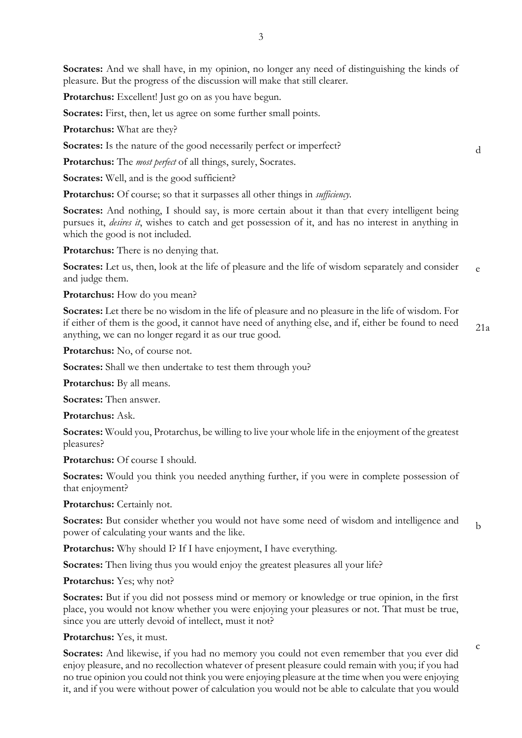**Socrates:** And we shall have, in my opinion, no longer any need of distinguishing the kinds of pleasure. But the progress of the discussion will make that still clearer.

**Protarchus:** Excellent! Just go on as you have begun.

Socrates: First, then, let us agree on some further small points.

**Protarchus:** What are they?

**Socrates:** Is the nature of the good necessarily perfect or imperfect?

**Protarchus:** The *most perfect* of all things, surely, Socrates.

Socrates: Well, and is the good sufficient?

**Protarchus:** Of course; so that it surpasses all other things in *sufficiency*.

**Socrates:** And nothing, I should say, is more certain about it than that every intelligent being pursues it, *desires it*, wishes to catch and get possession of it, and has no interest in anything in which the good is not included.

**Protarchus:** There is no denying that.

**Socrates:** Let us, then, look at the life of pleasure and the life of wisdom separately and consider and judge them. e

d

b

c

Protarchus: How do you mean?

**Socrates:** Let there be no wisdom in the life of pleasure and no pleasure in the life of wisdom. For if either of them is the good, it cannot have need of anything else, and if, either be found to need anything, we can no longer regard it as our true good. 21a

**Protarchus:** No, of course not.

**Socrates:** Shall we then undertake to test them through you?

**Protarchus:** By all means.

**Socrates:** Then answer.

**Protarchus:** Ask.

**Socrates:** Would you, Protarchus, be willing to live your whole life in the enjoyment of the greatest pleasures?

**Protarchus:** Of course I should.

**Socrates:** Would you think you needed anything further, if you were in complete possession of that enjoyment?

Protarchus: Certainly not.

**Socrates:** But consider whether you would not have some need of wisdom and intelligence and power of calculating your wants and the like.

**Protarchus:** Why should I? If I have enjoyment, I have everything.

**Socrates:** Then living thus you would enjoy the greatest pleasures all your life?

Protarchus: Yes; why not?

**Socrates:** But if you did not possess mind or memory or knowledge or true opinion, in the first place, you would not know whether you were enjoying your pleasures or not. That must be true, since you are utterly devoid of intellect, must it not?

**Protarchus:** Yes, it must.

**Socrates:** And likewise, if you had no memory you could not even remember that you ever did enjoy pleasure, and no recollection whatever of present pleasure could remain with you; if you had no true opinion you could not think you were enjoying pleasure at the time when you were enjoying it, and if you were without power of calculation you would not be able to calculate that you would